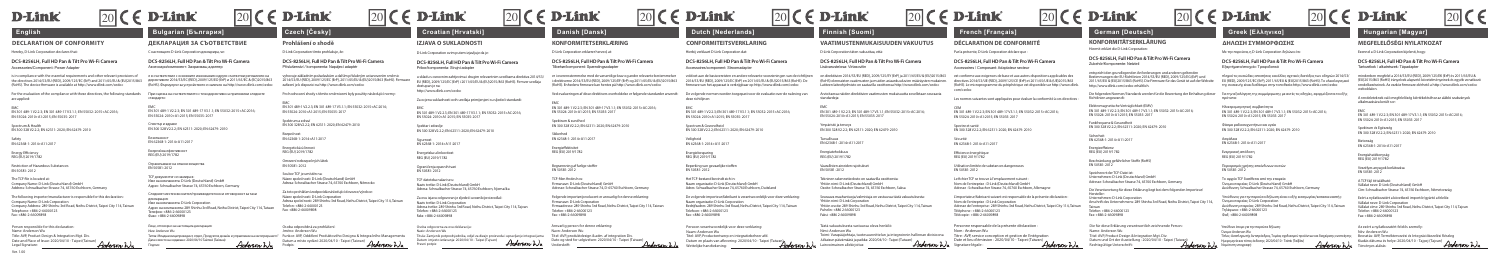Az ezért a nyilatkozatért felelős személy: Név: Anderson Wu Kiadás dátuma és helye: 2020/04/10 - Tajpej (Tajvan) / Anderson Wu

*Anderson* Wu

### **DCS-8256LH, Full HD Pan & Tilt Pro Wi-Fi Camera** Accessoires / Composant: Adaptateur secteur

### **DCS-8256LH, Full HD Pan & Tilt Pro Wi-Fi Camera** Zubehör/Komponente: Netzteil

# **KONFORMITÄTSERKLÄRUNG ΔΗΛΩΣΗ ΣΥΜΜΟΡΦΩΣΗΣ**

## **DCS-8256LH, Full HD Pan & Tilt Pro Wi-Fi Camera** Εξαρτήματα/στοιχείο: Τροφοδοτικό

## **MEGFELELŐSÉGI NYILATKOZAT**

## **DCS-8256LH, Full HD Pan & Tilt Pro Wi-Fi Camera** Tartozékok / alkatrészek: Tápadapter

mindenben megfelel a 2014/53/EU (RED), 2009/125/EK (ErP) és 2011/65/EU & (EU)2015/863 (RoHS) irányelvek alapvető követelményeinek és egyéb vonatkozó rendelkezéseinek. Az eszköz firmware elérhető a http://www.dlink.com/cedoc weboldalon.

A rendeleteknek való megfelelőség kiértékeléséhez az alábbi szabványok alkalmazására került sor:

EMC EN 301 489-1 V2.2.3; EN 301 489-17 V3.1.1; EN 55032: 2015+AC:2016; EN 55024: 2010+A1:2015; EN 55035: 2017

Ezért a nyilatkozatért a következő importőr/gyártó a felelős: Vállalat neve: D-Link Corporation Vállalat címe: 289 Shinhu 3rd Road, Neihu District, Taipei City 114, Tajvan Telefon: +886-2-66000123 Fax: +886-2-66009898

| <b>D-Link</b>                                                                                                                                                                                                                                       |                    | <b>D-Link</b>                                                                                                                                                                                                                                                    |             |                                                                                                                                                                                                                                                                                      |             | <b>D-Link</b>                                                                                                                                                                                                                    |                    | $\epsilon$ D-Link                                                                                                                                                                                                                  | $\vert$ 20 $\vert$ ( | <b>D-Link</b>                                                                                                                                                                                                                                         | $ 20 $ $\epsilon$ <b>D-Link</b>                                                                                                                                                                                                                                              |                                             | <b>D-Link</b>                                                                                                                                                                                                                                                                | <b>D-Link</b>                                                   |                                                                                                                                                                                                                                                                        |             | <b>D-Link</b>                                                                                                                                                                                                                                             |                                                | $\overline{20}$                                                                                                                                                                                                              |
|-----------------------------------------------------------------------------------------------------------------------------------------------------------------------------------------------------------------------------------------------------|--------------------|------------------------------------------------------------------------------------------------------------------------------------------------------------------------------------------------------------------------------------------------------------------|-------------|--------------------------------------------------------------------------------------------------------------------------------------------------------------------------------------------------------------------------------------------------------------------------------------|-------------|----------------------------------------------------------------------------------------------------------------------------------------------------------------------------------------------------------------------------------|--------------------|------------------------------------------------------------------------------------------------------------------------------------------------------------------------------------------------------------------------------------|----------------------|-------------------------------------------------------------------------------------------------------------------------------------------------------------------------------------------------------------------------------------------------------|------------------------------------------------------------------------------------------------------------------------------------------------------------------------------------------------------------------------------------------------------------------------------|---------------------------------------------|------------------------------------------------------------------------------------------------------------------------------------------------------------------------------------------------------------------------------------------------------------------------------|-----------------------------------------------------------------|------------------------------------------------------------------------------------------------------------------------------------------------------------------------------------------------------------------------------------------------------------------------|-------------|-----------------------------------------------------------------------------------------------------------------------------------------------------------------------------------------------------------------------------------------------------------|------------------------------------------------|------------------------------------------------------------------------------------------------------------------------------------------------------------------------------------------------------------------------------|
| English                                                                                                                                                                                                                                             |                    | <b>Bulgarian [България]</b>                                                                                                                                                                                                                                      |             | Czech [Česky]                                                                                                                                                                                                                                                                        |             | <b>Croatian [Hrvatski]</b>                                                                                                                                                                                                       |                    | Danish [Dansk]                                                                                                                                                                                                                     |                      | <b>Dutch [Nederlands]</b>                                                                                                                                                                                                                             | <b>Finnish [Suomi]</b>                                                                                                                                                                                                                                                       |                                             | French [Français]                                                                                                                                                                                                                                                            |                                                                 | <b>German [Deutsch]</b>                                                                                                                                                                                                                                                |             | Greek [Ελληνικα]                                                                                                                                                                                                                                          |                                                | Hungarian [Magyar]                                                                                                                                                                                                           |
| <b>DECLARATION OF CONFORMITY</b>                                                                                                                                                                                                                    |                    | ДЕКЛАРАЦИЯ ЗА СЪОТВЕТСТВИЕ                                                                                                                                                                                                                                       |             | Prohlášení o shodě                                                                                                                                                                                                                                                                   |             | <b>IZJAVA O SUKLADNOST</b>                                                                                                                                                                                                       |                    | <b>KONFORMITETSERKLÆRING</b>                                                                                                                                                                                                       |                      | <b>CONFORMITEITSVERKLARING</b>                                                                                                                                                                                                                        | <b>VAATIMUSTENMUKAISUUDEN VAKUUTU</b>                                                                                                                                                                                                                                        |                                             | <b>DÉCLARATION DE CONFORMIT</b>                                                                                                                                                                                                                                              |                                                                 | <b>KONFORMITÄTSERKLÄRUNG</b>                                                                                                                                                                                                                                           |             | ΔΗΛΩΣΗ ΣΥΜΜΟΡΦΩΣΗΣ                                                                                                                                                                                                                                        |                                                | MEGFELELŐSÉGI NYILATKOZAT                                                                                                                                                                                                    |
| Hereby, D-Link Corporation declares that                                                                                                                                                                                                            |                    | С настоящото D-Link Corporation декларира, че:                                                                                                                                                                                                                   |             | D-Link Corporation tímto prohlašuje, že                                                                                                                                                                                                                                              |             | D-Link Corporation ovim putem izjavljuje da je                                                                                                                                                                                   |                    | D-Link Corporation erklærer herved, at:                                                                                                                                                                                            |                      | Hierbij verklaart D-Link Corporation dat:                                                                                                                                                                                                             | D-Link Corporation täten vakuuttaa, että:                                                                                                                                                                                                                                    |                                             | Par la présente, D-Link Corporation déclare que :                                                                                                                                                                                                                            |                                                                 | Hiermit erklärt die D-Link Corporation:                                                                                                                                                                                                                                |             | Με την παρούσα, η D-Link Corporation δηλώνει ότι:                                                                                                                                                                                                         |                                                | Ezennel a D-Link Corporation kijelenti, hogy                                                                                                                                                                                 |
| DCS-8256LH, Full HD Pan & Tilt Pro Wi-Fi Camera<br>Accessories/Component: Power Adapter                                                                                                                                                             |                    | DCS-8256LH. Full HD Pan & Tilt Pro Wi-Fi Camera<br>Аксесоари/компонент: Захранваш адаптер                                                                                                                                                                        |             | DCS-8256LH. Full HD Pan & Tilt Pro Wi-Fi Camera<br>Příslušenství / komponenta: Napájecí adaptér                                                                                                                                                                                      |             | DCS-8256LH. Full HD Pan & Tilt Pro Wi-Fi Camera<br>Pribor/komponenta: Strujni adapter                                                                                                                                            |                    | DCS-8256LH, Full HD Pan & Tilt Pro Wi-Fi Camera<br>Tilbehør/komponent: Spændingsadapter                                                                                                                                            |                      | DCS-8256LH, Full HD Pan & Tilt Pro Wi-Fi Camera<br>Accessoires/component: Stroomadapter                                                                                                                                                               | DCS-8256LH. Full HD Pan & Tilt Pro Wi-Fi Camera<br>Lisävaruste/osa: Virtasovitin                                                                                                                                                                                             |                                             | DCS-8256LH, Full HD Pan & Tilt Pro Wi-Fi Camera<br>Accessoires / Composant: Adaptateur secteur                                                                                                                                                                               |                                                                 | DCS-8256LH, Full HD Pan & Tilt Pro Wi-Fi Camer<br>Zubehör/Komponente: Netzteil                                                                                                                                                                                         |             | DCS-8256LH, Full HD Pan & Tilt Pro Wi-Fi Camera<br>Εξαρτήματα/στοιχείο: Τροφοδοτικό                                                                                                                                                                       |                                                | DCS-8256LH, Full HD Pan & Tilt Pro Wi-Fi Camer<br>Tartozékok / alkatrészek: Tápadapter                                                                                                                                       |
| is in compliance with the essential requirements and other relevant provisions (<br>the directives 2014/53/EU (RED), 2009/125/EC (ErP) and 2011/65/EU & (EU)2015/863<br>(RoHS). The device firmware is available at http://www.dlink.com/cedoc      |                    | е в съответствие с основните изисквания и други съответни регламенти на<br>директивите 2014/53/EC (RED), 2009/125/EO (ErP) и 2011/65/EC & (EC)2015/863<br>(RoHS). Фърмуерът за устройството е наличен на http://www.dlink.com/cedoc                              |             | vyhovuje základním požadavkům a dalším příslušným ustanovením směrnic<br>2014/53/EU (RED), 2009/125/EC (ErP), 2011/65/EU & (EU)2015/863 (RoHS), Firmware<br>zařízení je k dispozici na http://www.dlink.com/cedoc                                                                    |             | u skladu s osnovnim zahtievima i drugim relevantnim uredbama direktiva 2014/53/<br>EU (RED), 2009/125/EC (ErP) i 2011/65/EU & (EU)2015/863 (RoHS). Firmver uredaia<br>dostupan ie na:<br>http://www.dlink.com/cedoc              |                    | er i overensstemmelse med de væsentlige krav og andre relevante bestemmelse<br>direktiverne 2014/53/EU (RED), 2009/125/EF (ErP) og 2011/65/EU & (EU)2015/86.<br>(RoHS). Enhedens firmware kan hentes på http://www.dlink.com/cedoc |                      | voldoet aan de basisvereisten en andere relevante voorzieningen van de richtlijnen<br>2014/53/EU (RED), 2009/125/EC (ErP) en 2011/65/EU & (EU)2015/863 (RoHS), De<br>firmware van het apparaat is verkrijgbaar op http://www.dlink.com/cedoc          | on direktiivien 2014/53/EU (RED), 2009/125/EY (ErP) ia 2011/65/EU & (EU)2015/863<br>(RoHS) olennaisten vaatimusten ja muiden asiaankuuluvien määrävsten mukainer<br>Laitteen laiteohjelmisto on saatavilla osoitteessa http://www.dlink.com/cedoc                            |                                             | est conforme aux exigences de base et aux autres dispositions applicables de<br>directives 2014/53/UE (RED), 2009/125/CE (ErP) et 2011/65/UE & (UE)2015/863<br>(RoHS). Le microprogramme du périphérique est disponible sur http://www.dlink.<br>com/cedoc                   |                                                                 | entspricht den arundlegenden Anforderungen und anderen geltenden<br>Bestimmungen der EU-Richtlinien 2014/53/EU (RED), 2009/125/EG (ErP) und<br>2011/65/EU & (EU)2015/863 (RoHS). Die Firmware für das Gerät ist auf der Web:<br>http://www.dlink.com/cedoc erhältlich. |             | πληροί τις ουσιώδεις απαιτήσεις και άλλες σχετικές διατάξεις των οδηγιών 2014/53,<br>EU (RED), 2009/125/EC (ErP), 2011/65/EU & (EU)2015/863 (RoHS). To υλικολονισμικι<br>της συσκευής είναι διαθέσιμο στην τοποθεσία http://www.dlink.com/cedoc           |                                                | mindenben megfelel a 2014/53/EU (RED), 2009/125/EK (ErP) és 2<br>(EU)2015/863 (RoHS) irányelvek alapyető követelményeinek és e<br>endelkezéseinek. Az eszköz firmware elérhető a http://www.dlir<br>veboldalon               |
| For the evaluation of the compliance with these directives, the following standards<br>are applied:                                                                                                                                                 |                    | При оценка на съответствието с тези директиви са приложени следните                                                                                                                                                                                              |             | Pro hodnocení shody s těmito směrnicemi byly použity následující normy:                                                                                                                                                                                                              |             | Za ocjenu sukladnosti ovih uređaja primijenjeni su sljedeći standardi:                                                                                                                                                           |                    | Ved evalueringen af disse direktivers overholdelse er følgende standarder anvendt:                                                                                                                                                 |                      | De volgende normen worden toegepast voor de evaluatie over de naleving van<br>deze richtliinen                                                                                                                                                        | Arvioitaessa näiden direktiivien vaatimusten mukaisuutta sovelletaan seuraavia                                                                                                                                                                                               |                                             | Les normes suivantes sont appliquées pour évaluer la conformité à ces directives                                                                                                                                                                                             | Richtlinien angewandt:                                          | Die folgenden Normen/Standards werden für die Bewertung der Einhaltung dieser                                                                                                                                                                                          |             | Για την αξιολόγηση της συμμόρφωσης με αυτές τις οδηγίες, εφαρμόζονται τα εξή                                                                                                                                                                              |                                                | rendeleteknek való megfelelőség kiértékeléséhez az alábbi sza<br>alkalmazására került sor:                                                                                                                                   |
| EN 301 489-1 V2.2.3: EN 301 489-17 V3.1.1: EN 55032: 2015+AC:2016:<br>EN 55024: 2010+A1:2015: EN 55035: 2017                                                                                                                                        |                    | EN 301 489-1 V2 2 3: EN 301 489-17 V3 1 1: EN 55032: 2015+AC: 2016:<br>EN 55024: 2010+A1:2015: EN 55035: 2017                                                                                                                                                    |             | EN 301 489-1 V2.2.3: EN 301 489-17 V3.1.1: EN 55032: 2015+AC:2016:<br>EN 55024: 2010+A1:2015: EN 55035: 2017                                                                                                                                                                         |             | EN 301 489-1 V2.2.3: EN 301 489-17 V3.1.1: EN 55032: 2015+AC:2016:<br>EN 55024: 2010+A1:2015: EN 55035: 2017                                                                                                                     |                    | EN 301 489-1 V2.2.3: EN 301 489-17 V3.1.1: EN 55032: 2015+AC:2016:<br>EN 55024: 2010+A1:2015: EN 55035: 2017                                                                                                                       |                      | EN 301 489-1 V2.2.3: EN 301 489-17 V3.1.1: EN 55032: 2015+AC:2016:<br>EN 55024: 2010+A1:2015: EN 55035: 2017                                                                                                                                          | EN 301 489-1 V2 2 3: EN 301 489-17 V3 1 1: EN 55032: 2015+AC: 2016:<br>EN 55024: 2010+A1:2015: EN 55035: 2017                                                                                                                                                                |                                             | EN 301 489-1 V2.2.3: EN 301 489-17 V3.1.1: EN 55032: 2015+AC:2016:<br>EN 55024: 2010+A1:2015: EN 55035: 2017                                                                                                                                                                 |                                                                 | :lektromagnetische Verträglichkeit (EMV)<br>EN 301 489-1 V2.2.3: EN 301 489-17 V3.1.1: EN 55032: 2015+AC:2016:<br>EN 55024: 2010+A1:2015: EN 55035: 2017                                                                                                               |             | Ηλεκτρομαννητική συμβατότητα<br>EN 301 489-1 V2.2.3: EN 301 489-17 V3.1.1: EN 55032: 2015+AC:2016:<br>EN 55024: 2010+A1:2015: EN 55035: 2017                                                                                                              |                                                | EN 301 489-1 V2 2 3: EN 301 489-17 V3 1 1: EN 55032: 2015+AC: 2<br>EN 55024: 2010+A1:2015: EN 55035: 2011                                                                                                                    |
| Spectrum & Health<br>EN 300 328 V2.2.2: EN 62311: 2020: EN 62479: 2010                                                                                                                                                                              |                    | Спектър и здраве<br>EN 300 328 V2.2.2: EN 62311: 2020: EN 62479: 2010                                                                                                                                                                                            |             | Spektrum a zdraví<br>EN 300 328 V2.2.2: EN 62311: 2020: EN 62479: 2010<br>Bezpečnost                                                                                                                                                                                                 |             | Spektar i zdravlje<br>EN 300 328 V2.2.2: EN 62311: 2020: EN 62479: 2010                                                                                                                                                          |                    | Spektrum & sundhed<br>EN 300 328 V2.2.2: EN 62311: 2020: EN 62479: 2010<br>Sikkerhed                                                                                                                                               |                      | Spectrum & Gezondheid<br>EN 300 328 V2.2.2: EN 62311: 2020: EN 62479: 2010                                                                                                                                                                            | Ympäristö ja tervevs<br>EN 300 328 V2.2.2: EN 62311: 2020: EN 62479: 2010                                                                                                                                                                                                    |                                             | Spectre et santé<br>EN 300 328 V2.2.2: EN 62311: 2020: EN 62479: 2010                                                                                                                                                                                                        | Funkfreauenz & Gesundheit                                       | EN 300 328 V2.2.2: EN 62311: 2020: EN 62479: 2010                                                                                                                                                                                                                      |             | Φάσμα ραδιοσυχνοτήτων και υγεία<br>EN 300 328 V2.2.2: EN 62311: 2020: EN 62479: 2010                                                                                                                                                                      |                                                | špektrum és Egészség<br>EN 300 328 V2.2.2: EN 62311: 2020: EN 62479: 2010                                                                                                                                                    |
| EN 62368-1: 2014+A11:2017                                                                                                                                                                                                                           |                    | Безопасност<br>EN 62368-1: 2014+A11:2017                                                                                                                                                                                                                         |             | EN 62368-1: 2014+A11:2017<br>Energetická účinnost                                                                                                                                                                                                                                    |             | Sigurnost<br>EN 62368-1:2014+A11:2017                                                                                                                                                                                            |                    | EN 62368-1: 2014+A11:2017<br>Energieffektivitet                                                                                                                                                                                    |                      | Veiligheid<br>EN 62368-1:2014+A11:2017                                                                                                                                                                                                                | Turvallisuus<br>EN 62368-1: 2014+A11:2017                                                                                                                                                                                                                                    |                                             | Sécurité<br>EN 62368-1: 2014+A11:2017                                                                                                                                                                                                                                        | Sicherheit<br>EN 62368-1: 2014+A11:2017<br>Energieeffizienz     |                                                                                                                                                                                                                                                                        |             | Ασφάλεια<br>EN 62368-1: 2014+A11:2017                                                                                                                                                                                                                     |                                                | Biztonság<br>EN 62368-1:2014+A11:2017                                                                                                                                                                                        |
| <b>Energy Efficiency</b><br>REG (EU) 2019/1782                                                                                                                                                                                                      |                    | Енергийна ефективност<br>REG (EU) 2019/1782                                                                                                                                                                                                                      |             | REG (EU) 2019/1782<br>Omezení nebezpečných látek                                                                                                                                                                                                                                     |             | Energetska učinkovitost<br>REG (EU) 2019/1782                                                                                                                                                                                    |                    | REG (EU) 2019/1782                                                                                                                                                                                                                 |                      | Energiebesparing<br>REG (EU) 2019/1782                                                                                                                                                                                                                | Energiatehokkuus<br>REG (EU) 2019/1782                                                                                                                                                                                                                                       |                                             | Efficience énergétique<br>REG (EU) 2019/1782                                                                                                                                                                                                                                 | REG (EU) 2019/1782                                              | Beschränkung gefährlicher Stoffe (RoHS                                                                                                                                                                                                                                 |             | Ενεργειακή απόδοση<br>REG (EU) 2019/1782                                                                                                                                                                                                                  |                                                | Energiahatékonyság<br>REG (EU) 2019/1782                                                                                                                                                                                     |
| Restriction of Hazardous Substances<br>EN 50581: 2012                                                                                                                                                                                               |                    | Ограничаване на опасни вещества<br>FN 50581-2012                                                                                                                                                                                                                 |             | EN 50581: 2012<br>Soubor TCF ie umístên na:                                                                                                                                                                                                                                          |             | Ograničenja opasnih tvari<br>EN 50581: 2012                                                                                                                                                                                      |                    | Begrænsning af farlige stoffer<br>EN 50581: 2012                                                                                                                                                                                   |                      | Beperking van gevaarlijke stoffen<br>EN 50581: 2012                                                                                                                                                                                                   | Vaarallisten aineiden raioitukse<br>EN 50581: 2012                                                                                                                                                                                                                           |                                             | Utilisation limitée de substances dangereuses<br>EN 50581: 2012                                                                                                                                                                                                              | EN 50581: 2012                                                  | Speicherort der TCF-Datei ist:                                                                                                                                                                                                                                         |             | Περιορισμός χρήσης επικίνδυνων ουσιών<br>EN 50581: 2012                                                                                                                                                                                                   |                                                | Veszélves anyagok korlátozás<br>EN 50581: 2012                                                                                                                                                                               |
| The TCF file is located at:<br>Company Name: D-Link (Deutschland) GmbH<br>Address: Schwalbacher Strasse 74, 65760 Eschborn, Germany                                                                                                                 |                    | ТСЕ документът се намира в:<br>Име на компанията: D-Link (Deutschland) GmbH<br>Annec: Schwalbacher Strasse 74, 65760 Eschborn, Germany                                                                                                                           |             | Název společnosti: D-Link (Deutschland) GmbH<br>Adresa: Schwalbacher Strasse 74, 65760 Eschborn, Německo                                                                                                                                                                             |             | TCF datoteka nalazi se u:<br>Naziv tvrtke: D-Link (Deutschland) GmbH<br>Adresa: Schwalbacher Strasse 74, 65760 Eschborn, Niemačka                                                                                                |                    | TCF-filen findes hos:<br>Firmanavn: D-Link (Deutschland) GmbH<br>Adresse: Schwalbacher Strasse 74, D-65760 Eschborn, Germany                                                                                                       |                      | Het TCF-bestand bevindt zich in:<br>Naam organisatie: D-Link (Deutschland) GmbH<br>Adres: Schwalbacher Strasse 74, 65760 Eschborn, Duitsland                                                                                                          | Tekninen rakennetjedosto on saatavilla osoitteesta:<br>Yhtiön nimi: D-Link (Deutschland) GmbH<br>Osoite: Schwalbacher Strasse 74, 65760 Eschborn, Saksa                                                                                                                      |                                             | Le fichier TCF se trouve à l'emplacement suivant :<br>Nom de l'entreprise : D-Link (Deutschland) GmbH<br>Adresse: Schwalbacher Strasse 74, 65760 Eschborn, Allemagne                                                                                                         |                                                                 | Unternehmen: D-Link (Deutschland) GmbH<br>Adresse: Schwalbacher Strasse 74, 65760 Eschborn, Germany<br>Die Verantwortung für diese Erklärung liegt bei dem folgenden Importeur                                                                                         |             | Το αργείο TCF διατίθεται από την εταιρεία:<br>'Ovoug εταιρείας: D-Link (Deutschland) GmbH<br>Διεύθυνση: Schwalbacher Strasse 74, 65760 Eschborn, Germany                                                                                                  |                                                | A TCF fáil itt található:<br>Vállalat neve: D-Link (Deutschland) GmbH<br>Cim: Schwalbacher Strasse 74, 65760 Eschborn, Németorszá                                                                                            |
| The following importer/manufacturer is responsible for this declaration:<br>Company Name: D-Link Corporation<br>Company Address: 289 Shinhu 3rd Road, Neihu District, Taipei City 114, Taiwar<br>Telephone: +886-2-66000123<br>Fax: +886-2-66009898 |                    | Следният местен вносител/производител носи отговорност за тази<br>декларация:<br>Име на компанията: D-Link Corporation<br>Anpec на компанията: 289 Shinhu 3rd Road, Neihu District, Taipei City 114, Taiwan<br>Телефон: +886-2-66000123<br>Факс: +886-2-66009898 |             | Za toto prohlášení zodpovídá následující dovozce/výrobce:<br>Název společnosti: D-Link Corporation<br>Adresa společnosti: 289 Shinhu 3rd Road, Neihu District, Taipei City 114, Taiwa<br>Telefon: +886-2-66000123<br>Fax: +886-2-66009898                                            |             | Za ovu izjavu odgovoran je sljedeći uvoznik/proizvođač<br>Naziv tvrtke: D-Link Corporation<br>Adresa tyrtke: 289 Shinhu 3rd Road. Neihu District. Taipei City 114. Taivan<br>Telefon: +886-2-6600012?<br>Faks: +886-2-66009898   |                    | Følgende importør/producent er ansvarlig for denne erklæring<br>Firmanavn: D-Link Corporation<br>Firmaadresse: 289 Shinhu 3rd Road, Neihu District, Taipei City 114, Taiwan<br>Telefon: +886-2-66000123<br>Fax: +886-2-66009898    |                      | De volgende importeur/fabrikant is verantwoordelijk voor deze verklaring:<br>Naam organisatie: D-Link Corporation<br>Bedriifsadres: 289 Shinhu 3rd Road, Neihu District, Taipei City 114, Taiwan<br>Telefoon: +886-2-66000123<br>Fax: +886-2-66009898 | Seuraava maahantuoja/valmistaja on vastuussa tästä vakuutuksesta<br>Yhtiön nimi: D-Link Corporation<br>Yhtiön osoite: 289 Shinhu 3rd Road, Neihu District, Taipei City 114, Taiwan<br>Puhelin: +886 2 66000123<br>Faksi: +886 2 66009898                                     |                                             | L'importateur/fabricant suivant est responsable de la présente déclaration<br>Nom de l'entreprise : D-Link Corporation<br>Adresse de l'entreprise : 289 Shinhu 3rd Road, Neihu District, Taipei City 114, Taïwan<br>Téléphone: +886-2-66000123<br>Télécopie: +886-2-66009898 | Hersteller:<br>Telefon: +886-2-66000123<br>Fax: +886-2-66009898 | Unternehmen: D-Link Corporation<br>Anschrift des Unternehmens: 289 Shinhu 3rd Road, Neihu District, Taipei City 1                                                                                                                                                      |             | Υπεύθυνος νια την παρούσα δήλωση είναι ο εξής εισανωνέας/κατασκευαστής:<br>'Ovoug εταιρείας: D-Link Corporation<br>Διεύθυνση εταιρείας: 289 Shinhu 3rd Road, Neihu District, Taipei City 114, Taiwan<br>Τηλέφωνο: +886-2-6600012.<br>Φαξ: +886-2-66009898 |                                                | Ezért a nvilatkozatért a következő importőr/gyártó a felelős<br>/állalat neve: D-Link Corporation<br>Vállalat címe: 289 Shinhu 3rd Road, Neihu District, Taipei City 114<br>Telefon: +886-2-66000123<br>Fax: +886-2-66009898 |
| Person responsible for this declaration:<br>Name: Anderson Wu<br>Title: AVP, Product Design & Integration Mgt. Div.<br>Date and Place of Issue: 2020/04/10 - Taipei (Taiwan)<br>Legal Signature:                                                    | <i>Anderson</i> Wu | Лице, отговорно за настоящата декларация<br>Mme: Anderson Wu<br>Дата и място на издаване: 2020/04/10 Тайпей (Тайван)                                                                                                                                             | Hoderson Wu | Osoba odpovědná za prohlášení:<br>Jméno: Anderson Wu<br>Титла: Младши вицепрезидент, отдел, Продуктов дизайн и управление на интегрирането" Funkce: AVP. Oddělení Produktového Designu & Integračního Managementi<br>Datum a místo vydání: 2020/04/10 - Taipei (Taiwan) A<br>Podpis: | Anderson Wu | Osoba odgovorna za ovu deklaraciju:<br>Naziv: Anderson Wu<br>Titula: Zamjenik potpredsjednika, odjel za dizajn proizvoda i upravljanje integracijama<br>Datum i mjesto izdavanja: 2020/04/10 - Taipei (Tajvan)<br>Pravni potpis: | <i>Anderson Wu</i> | Ansvarlig person for denne erklæring:<br>Navn: Anderson Wu<br>Titel: AVP, produktdesign & adm, af integration Div.<br>Dato og sted for udgivelsen: 2020/04/10 - Taipei (Taiwan)<br>Underskrift:                                    | Hoderson Wu          | Persoon verantwoordelijk voor deze verklaring<br>Naam: Anderson Wu<br>Titel: AVP. Productontwerp en integratiebeheer afd<br>Datum en plaats van aflevering: 2020/04/10 - Taipei (Taiwan)<br>Wettelijke handtekening:                                  | Tästä vakuutuksesta vastuussa oleva henkilö:<br>Nimi: Anderson Wu<br>Toimi: Varapääjohtaja, tuotesuunnittelun ja integroinnin hallinnan divisioona<br>Julkaisun päivämäärä ja paikka: 2020/04/10 - Taipei (Taiwan)<br><b><i>Anderson Wu</i></b> Lainvoimainen allekirjoitus: | <b><i>Anderson Wu</i></b> Signature légale: | Personne responsable de la présente déclaration<br>Nom: Anderson Wu<br>Titre : AVP, service conception et gestion de l'intégration<br>Date et lieu d'émission : 2020/04/10 - Taipei (Taïwan)<br>Anderson h Ju                                                                | Name: Anderson Wu<br>Rechtsqültige Unterschrift:                | Die für diese Erklärung verantwortlich zeichnende Person:<br>Titel: AVP, Product Design & Integration Mgt. Div.<br>Datum und Ort der Ausstellung : 2020/04/10 - Taipei (Taiwag)                                                                                        | Emperson Wu | Υπεύθυνο άτομο νια την παρούσα δήλωση.<br>Ovoua: Anderson Wu<br>Τίτλος Αναπληρωτής Αντιπρόεδρος, Τομέας σχεδιασμού προϊόντων και διαχείρισης ενοποίησης<br>Ημερομηνία και τόπος έκδοσης: 2020/04/10 - Ταϊπέι (Ταϊβάν)<br>Νομότυπη υπογραφή:               | <i><b>Emplerson h/u</b></i> Törvényes aláírás: | Az ezért a nyilatkozatért felelős személy:<br>Név: Anderson Wu<br>Beosztás: AVP. Terméktervezési és Integrációkezelési Részleg<br>Kiadás dátuma és helye: 2020/04/10 - Tajpej (Tajvan) A<br>Hmde                             |